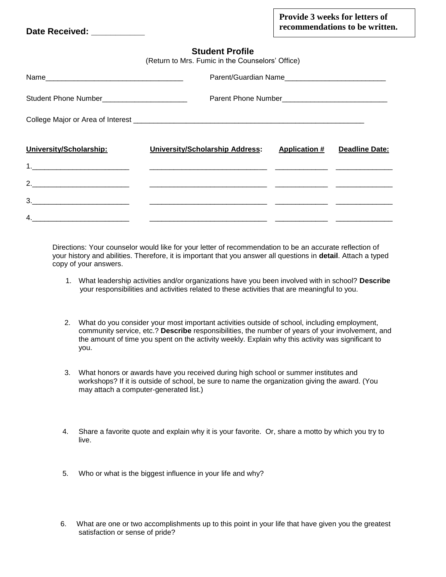Date Received:

## **Student Profile**

| (Return to Mrs. Fumic in the Counselors' Office) |                                 |                      |                |  |  |  |  |
|--------------------------------------------------|---------------------------------|----------------------|----------------|--|--|--|--|
|                                                  |                                 |                      |                |  |  |  |  |
| Student Phone Number_________________________    |                                 |                      |                |  |  |  |  |
|                                                  |                                 |                      |                |  |  |  |  |
| University/Scholarship:                          | University/Scholarship Address: | <b>Application #</b> | Deadline Date: |  |  |  |  |
|                                                  |                                 |                      |                |  |  |  |  |
|                                                  |                                 |                      |                |  |  |  |  |
|                                                  |                                 |                      |                |  |  |  |  |
|                                                  |                                 |                      |                |  |  |  |  |

Directions: Your counselor would like for your letter of recommendation to be an accurate reflection of your history and abilities. Therefore, it is important that you answer all questions in **detail**. Attach a typed copy of your answers.

- 1. What leadership activities and/or organizations have you been involved with in school? **Describe** your responsibilities and activities related to these activities that are meaningful to you.
- 2. What do you consider your most important activities outside of school, including employment, community service, etc.? **Describe** responsibilities, the number of years of your involvement, and the amount of time you spent on the activity weekly. Explain why this activity was significant to you.
- 3. What honors or awards have you received during high school or summer institutes and workshops? If it is outside of school, be sure to name the organization giving the award. (You may attach a computer-generated list.)
- 4. Share a favorite quote and explain why it is your favorite. Or, share a motto by which you try to live.
- 5. Who or what is the biggest influence in your life and why?
- 6. What are one or two accomplishments up to this point in your life that have given you the greatest satisfaction or sense of pride?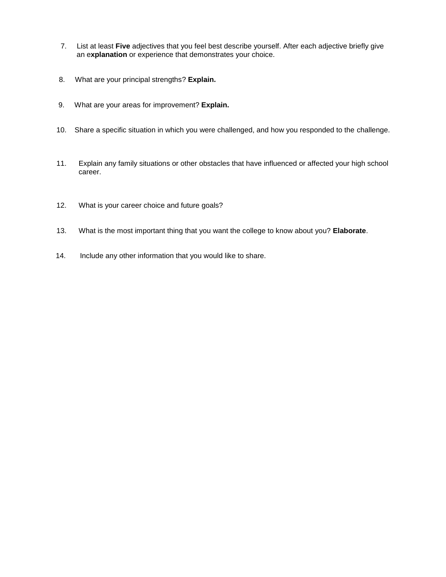- 7. List at least **Five** adjectives that you feel best describe yourself. After each adjective briefly give an e**xplanation** or experience that demonstrates your choice.
- 8. What are your principal strengths? **Explain.**
- 9. What are your areas for improvement? **Explain.**
- 10. Share a specific situation in which you were challenged, and how you responded to the challenge.
- 11. Explain any family situations or other obstacles that have influenced or affected your high school career.
- 12. What is your career choice and future goals?
- 13. What is the most important thing that you want the college to know about you? **Elaborate**.
- 14. Include any other information that you would like to share.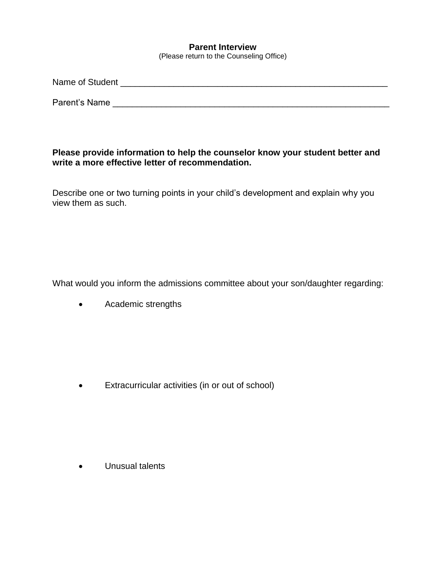## **Parent Interview**

(Please return to the Counseling Office)

| Name of Student |  |  |  |
|-----------------|--|--|--|
|                 |  |  |  |

Parent's Name \_\_\_\_\_\_\_\_\_\_\_\_\_\_\_\_\_\_\_\_\_\_\_\_\_\_\_\_\_\_\_\_\_\_\_\_\_\_\_\_\_\_\_\_\_\_\_\_\_\_\_\_\_\_\_\_\_

## **Please provide information to help the counselor know your student better and write a more effective letter of recommendation.**

Describe one or two turning points in your child's development and explain why you view them as such.

What would you inform the admissions committee about your son/daughter regarding:

• Academic strengths

• Extracurricular activities (in or out of school)

• Unusual talents